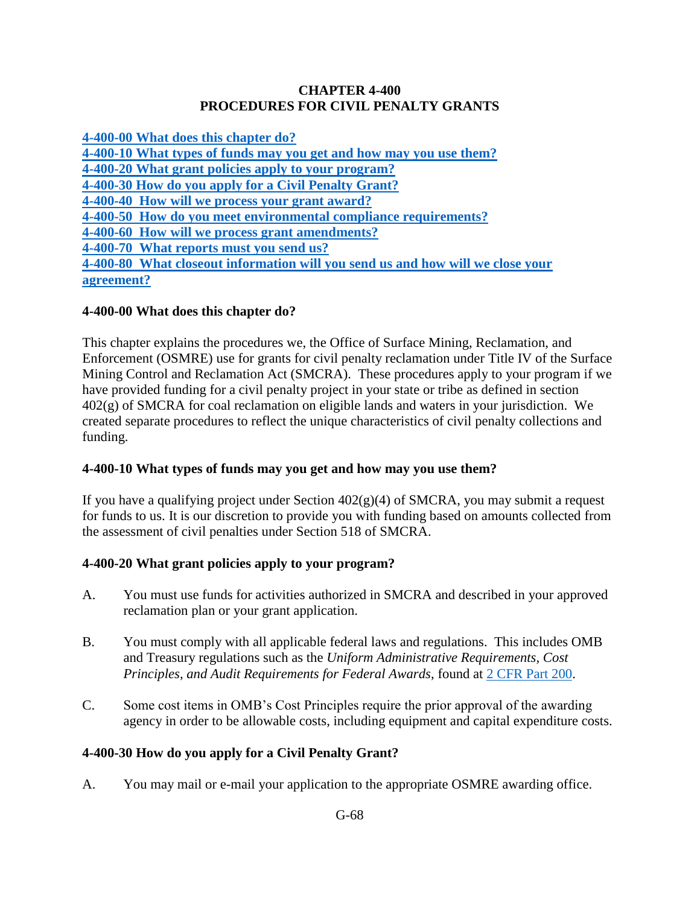#### **CHAPTER 4-400 PROCEDURES FOR CIVIL PENALTY GRANTS**

**[4-400-00 What does this chapter do?](#page-0-0) [4-400-10 What types of funds may you get and how may you use them?](#page-0-1) [4-400-20 What grant policies apply to your program?](#page-0-2) [4-400-30 How do you apply for a Civil Penalty Grant?](#page-0-3)**

**[4-400-40 How will we process your grant award?](#page-1-0)**

**[4-400-50 How do you meet environmental compliance requirements?](#page-2-0)**

**[4-400-60 How will we process grant amendments?](#page-3-0)**

**[4-400-70 What reports must you send us?](#page-4-0)**

**[4-400-80 What closeout information will you send us and how will we close your](#page-4-1)  [agreement?](#page-4-1)**

### <span id="page-0-0"></span>**4-400-00 What does this chapter do?**

This chapter explains the procedures we, the Office of Surface Mining, Reclamation, and Enforcement (OSMRE) use for grants for civil penalty reclamation under Title IV of the Surface Mining Control and Reclamation Act (SMCRA). These procedures apply to your program if we have provided funding for a civil penalty project in your state or tribe as defined in section 402(g) of SMCRA for coal reclamation on eligible lands and waters in your jurisdiction. We created separate procedures to reflect the unique characteristics of civil penalty collections and funding.

# <span id="page-0-1"></span>**4-400-10 What types of funds may you get and how may you use them?**

If you have a qualifying project under Section  $402(g)(4)$  of SMCRA, you may submit a request for funds to us. It is our discretion to provide you with funding based on amounts collected from the assessment of civil penalties under Section 518 of SMCRA.

# <span id="page-0-2"></span>**4-400-20 What grant policies apply to your program?**

- A. You must use funds for activities authorized in SMCRA and described in your approved reclamation plan or your grant application.
- B. You must comply with all applicable federal laws and regulations. This includes OMB and Treasury regulations such as the *Uniform Administrative Requirements, Cost Principles, and Audit Requirements for Federal Awards*, found at [2 CFR Part 200.](http://www.ecfr.gov/cgi-bin/text-idx?SID=5cdb64f9c9637b7beffcfd737cae593c&node=pt2.1.200&rgn=div5)
- C. Some cost items in OMB's Cost Principles require the prior approval of the awarding agency in order to be allowable costs, including equipment and capital expenditure costs.

# <span id="page-0-3"></span>**4-400-30 How do you apply for a Civil Penalty Grant?**

A. You may mail or e-mail your application to the appropriate OSMRE awarding office.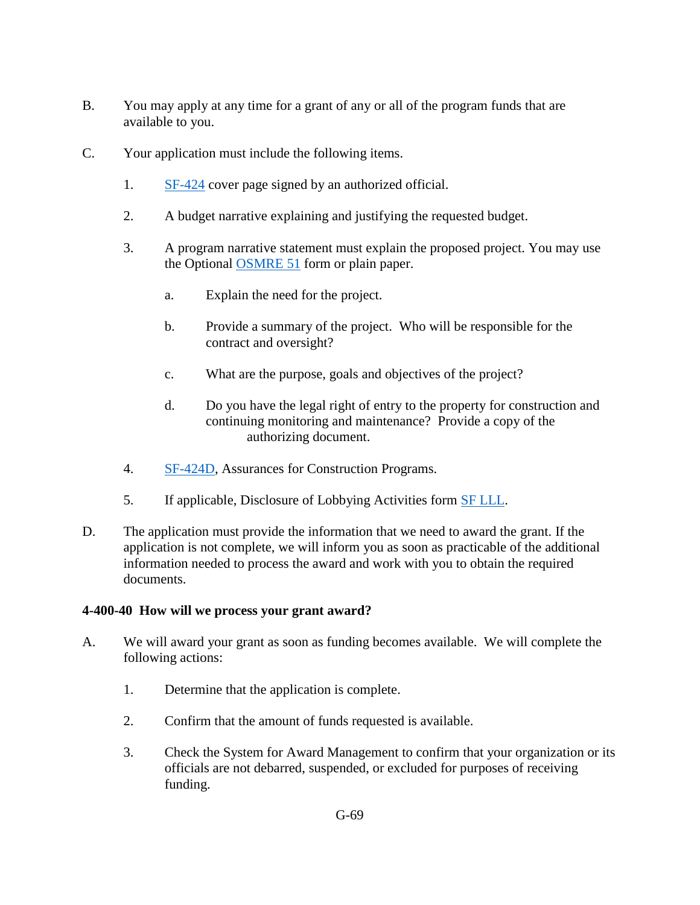- B. You may apply at any time for a grant of any or all of the program funds that are available to you.
- C. Your application must include the following items.
	- 1. [SF-424](http://apply07.grants.gov/apply/forms/sample/SF424_2_1-V2.1.pdf) cover page signed by an authorized official.
	- 2. A budget narrative explaining and justifying the requested budget.
	- 3. A program narrative statement must explain the proposed project. You may use the Optional [OSMRE 51](http://www.osmre.gov/resources/forms/OSM51.pdf) form or plain paper.
		- a. Explain the need for the project.
		- b. Provide a summary of the project. Who will be responsible for the contract and oversight?
		- c. What are the purpose, goals and objectives of the project?
		- d. Do you have the legal right of entry to the property for construction and continuing monitoring and maintenance? Provide a copy of the authorizing document.
	- 4. [SF-424D,](http://apply07.grants.gov/apply/forms/sample/SF424D-V1.1.pdf) Assurances for Construction Programs.
	- 5. If applicable, Disclosure of Lobbying Activities form [SF LLL.](http://www.gsa.gov/portal/getFormFormatPortalData?mediaId=30797)
- D. The application must provide the information that we need to award the grant. If the application is not complete, we will inform you as soon as practicable of the additional information needed to process the award and work with you to obtain the required documents.

### <span id="page-1-0"></span>**4-400-40 How will we process your grant award?**

- A. We will award your grant as soon as funding becomes available. We will complete the following actions:
	- 1. Determine that the application is complete.
	- 2. Confirm that the amount of funds requested is available.
	- 3. Check the System for Award Management to confirm that your organization or its officials are not debarred, suspended, or excluded for purposes of receiving funding.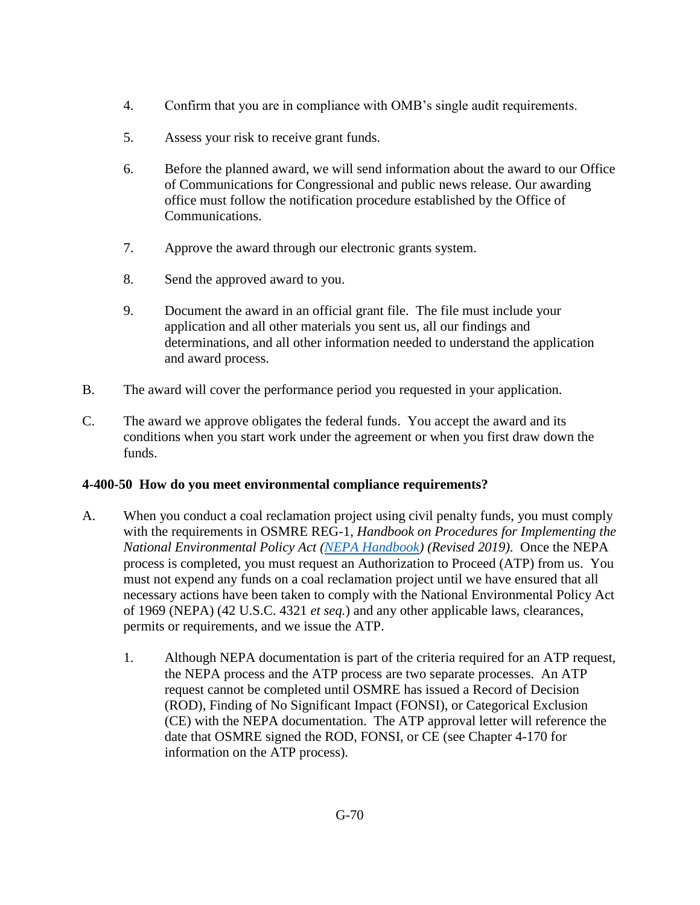- 4. Confirm that you are in compliance with OMB's single audit requirements.
- 5. Assess your risk to receive grant funds.
- 6. Before the planned award, we will send information about the award to our Office of Communications for Congressional and public news release. Our awarding office must follow the notification procedure established by the Office of Communications.
- 7. Approve the award through our electronic grants system.
- 8. Send the approved award to you.
- 9. Document the award in an official grant file. The file must include your application and all other materials you sent us, all our findings and determinations, and all other information needed to understand the application and award process.
- B. The award will cover the performance period you requested in your application*.*
- C. The award we approve obligates the federal funds. You accept the award and its conditions when you start work under the agreement or when you first draw down the funds.

### <span id="page-2-0"></span>**4-400-50 How do you meet environmental compliance requirements?**

- A. When you conduct a coal reclamation project using civil penalty funds, you must comply with the requirements in OSMRE REG-1, *Handbook on Procedures for Implementing the National Environmental Policy Act [\(NEPA Handbook\)](https://www.osmre.gov/lrg/nepa.shtm) (Revised 2019)*. Once the NEPA process is completed, you must request an Authorization to Proceed (ATP) from us. You must not expend any funds on a coal reclamation project until we have ensured that all necessary actions have been taken to comply with the National Environmental Policy Act of 1969 (NEPA) (42 U.S.C. 4321 *et seq.*) and any other applicable laws, clearances, permits or requirements, and we issue the ATP.
	- 1. Although NEPA documentation is part of the criteria required for an ATP request, the NEPA process and the ATP process are two separate processes. An ATP request cannot be completed until OSMRE has issued a Record of Decision (ROD), Finding of No Significant Impact (FONSI), or Categorical Exclusion (CE) with the NEPA documentation. The ATP approval letter will reference the date that OSMRE signed the ROD, FONSI, or CE (see [Chapter 4-170](https://www.osmre.gov/lrg/fam/4-170.pdf) for information on the ATP process).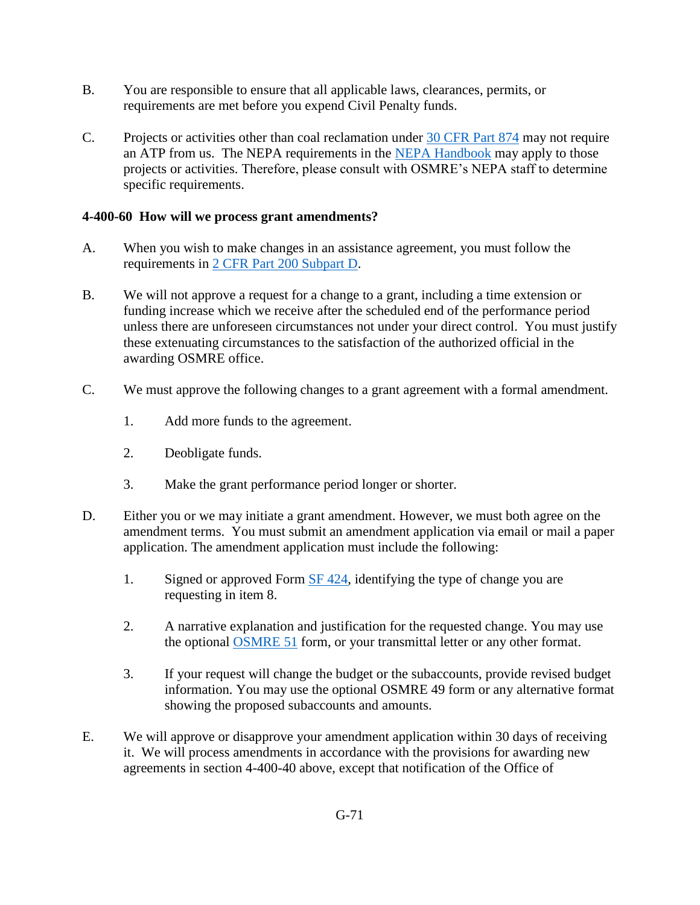- B. You are responsible to ensure that all applicable laws, clearances, permits, or requirements are met before you expend Civil Penalty funds.
- C. Projects or activities other than coal reclamation under [30 CFR Part 874](http://www.ecfr.gov/cgi-bin/text-idx?SID=3bd3b173eeb54685d68c235a8396c7b0&node=pt30.3.874&rgn=div5) may not require an ATP from us. The NEPA requirements in the [NEPA Handbook](https://www.osmre.gov/lrg/nepa.shtm) may apply to those projects or activities. Therefore, please consult with OSMRE's NEPA staff to determine specific requirements.

#### <span id="page-3-0"></span>**4-400-60 How will we process grant amendments?**

- A. When you wish to make changes in an assistance agreement, you must follow the requirements in [2 CFR Part 200 Subpart D.](http://www.ecfr.gov/cgi-bin/text-idx?SID=3bd3b173eeb54685d68c235a8396c7b0&node=pt2.1.200&rgn=div5)
- B. We will not approve a request for a change to a grant, including a time extension or funding increase which we receive after the scheduled end of the performance period unless there are unforeseen circumstances not under your direct control. You must justify these extenuating circumstances to the satisfaction of the authorized official in the awarding OSMRE office.
- C. We must approve the following changes to a grant agreement with a formal amendment.
	- 1. Add more funds to the agreement.
	- 2. Deobligate funds.
	- 3. Make the grant performance period longer or shorter.
- D. Either you or we may initiate a grant amendment. However, we must both agree on the amendment terms. You must submit an amendment application via email or mail a paper application. The amendment application must include the following:
	- 1. Signed or approved Form [SF 424,](http://apply07.grants.gov/apply/forms/sample/SF424_2_1-V2.1.pdf) identifying the type of change you are requesting in item 8.
	- 2. A narrative explanation and justification for the requested change. You may use the optional [OSMRE 51](http://www.osmre.gov/resources/forms/OSM51.pdf) form, or your transmittal letter or any other format.
	- 3. If your request will change the budget or the subaccounts, provide revised budget information. You may use the optional OSMRE 49 form or any alternative format showing the proposed subaccounts and amounts.
- E. We will approve or disapprove your amendment application within 30 days of receiving it. We will process amendments in accordance with the provisions for awarding new agreements in section 4-400-40 above, except that notification of the Office of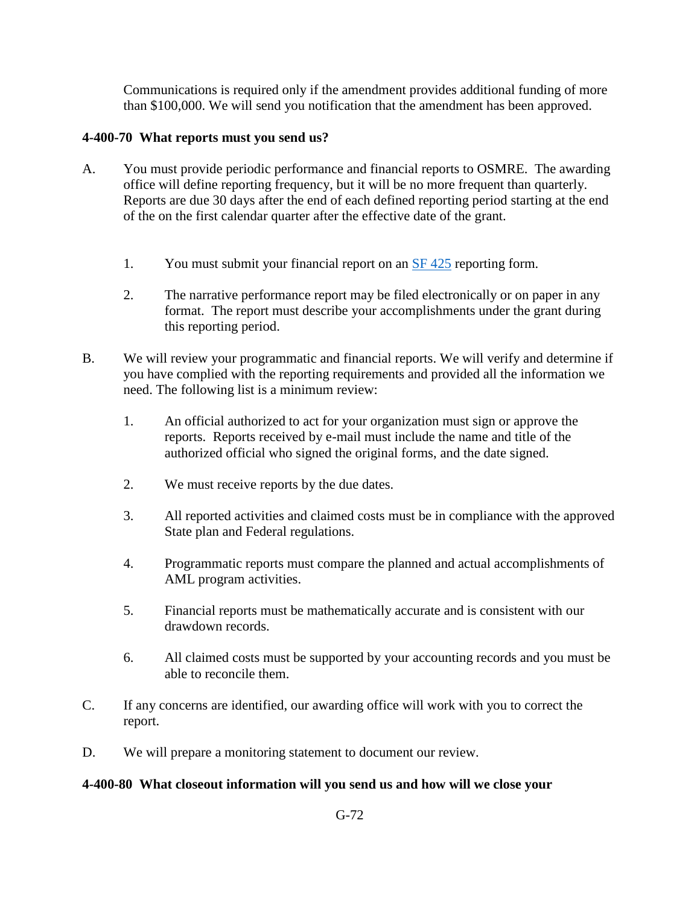Communications is required only if the amendment provides additional funding of more than \$100,000. We will send you notification that the amendment has been approved.

#### <span id="page-4-0"></span>**4-400-70 What reports must you send us?**

- A. You must provide periodic performance and financial reports to OSMRE. The awarding office will define reporting frequency, but it will be no more frequent than quarterly. Reports are due 30 days after the end of each defined reporting period starting at the end of the on the first calendar quarter after the effective date of the grant.
	- 1. You must submit your financial report on an [SF 425](http://www.whitehouse.gov/sites/default/files/omb/grants/approved_forms/SF-425.pdf) reporting form.
	- 2. The narrative performance report may be filed electronically or on paper in any format. The report must describe your accomplishments under the grant during this reporting period.
- B. We will review your programmatic and financial reports. We will verify and determine if you have complied with the reporting requirements and provided all the information we need. The following list is a minimum review:
	- 1. An official authorized to act for your organization must sign or approve the reports. Reports received by e-mail must include the name and title of the authorized official who signed the original forms, and the date signed.
	- 2. We must receive reports by the due dates.
	- 3. All reported activities and claimed costs must be in compliance with the approved State plan and Federal regulations.
	- 4. Programmatic reports must compare the planned and actual accomplishments of AML program activities.
	- 5. Financial reports must be mathematically accurate and is consistent with our drawdown records.
	- 6. All claimed costs must be supported by your accounting records and you must be able to reconcile them.
- C. If any concerns are identified, our awarding office will work with you to correct the report.
- D. We will prepare a monitoring statement to document our review.

#### <span id="page-4-1"></span>**4-400-80 What closeout information will you send us and how will we close your**